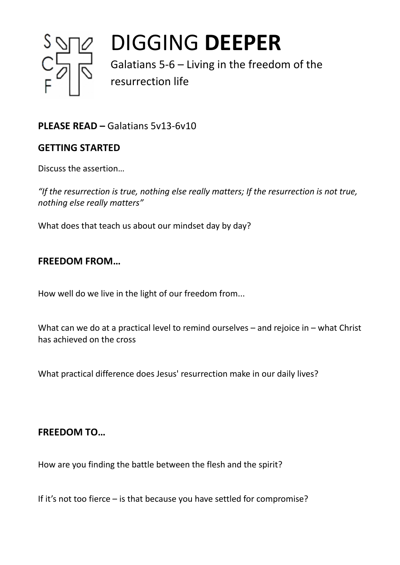

# DIGGING **DEEPER**

Galatians 5-6 – Living in the freedom of the resurrection life

## **PLEASE READ –** Galatians 5v13-6v10

## **GETTING STARTED**

Discuss the assertion…

*"If the resurrection is true, nothing else really matters; If the resurrection is not true, nothing else really matters"*

What does that teach us about our mindset day by day?

### **FREEDOM FROM…**

How well do we live in the light of our freedom from...

What can we do at a practical level to remind ourselves – and rejoice in – what Christ has achieved on the cross

What practical difference does Jesus' resurrection make in our daily lives?

### **FREEDOM TO…**

How are you finding the battle between the flesh and the spirit?

If it's not too fierce – is that because you have settled for compromise?